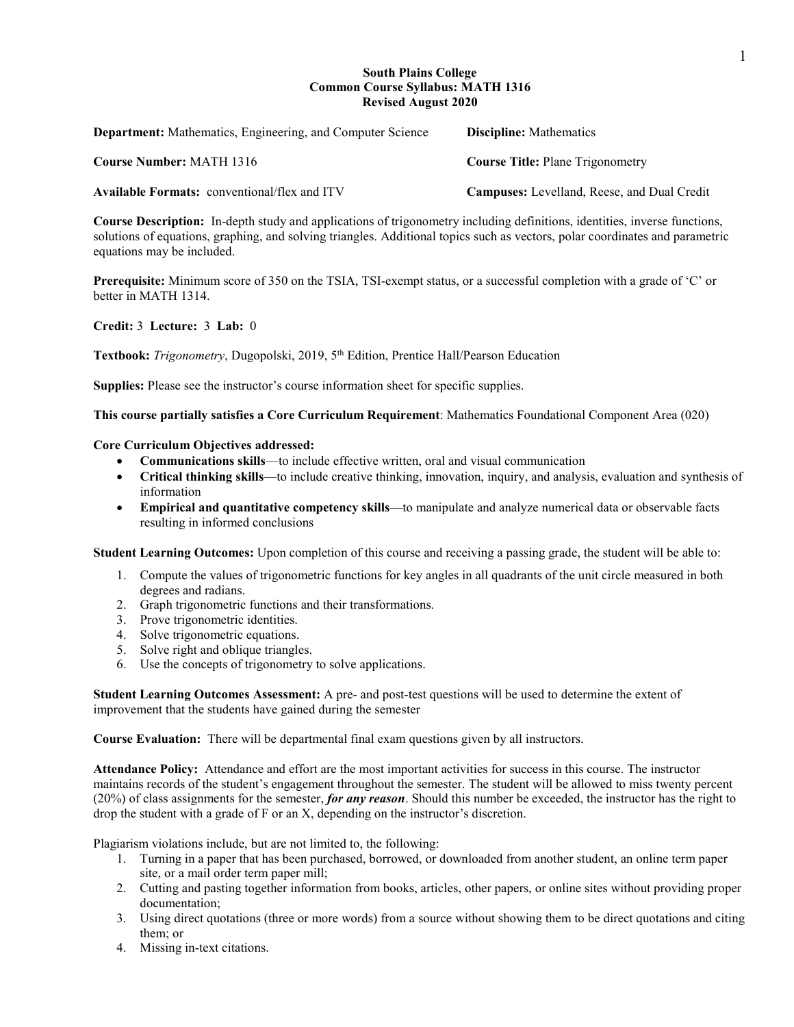### **South Plains College Common Course Syllabus: MATH 1316 Revised August 2020**

| <b>Department:</b> Mathematics, Engineering, and Computer Science | <b>Discipline:</b> Mathematics                     |
|-------------------------------------------------------------------|----------------------------------------------------|
| <b>Course Number: MATH 1316</b>                                   | <b>Course Title: Plane Trigonometry</b>            |
| <b>Available Formats:</b> conventional/flex and ITV               | <b>Campuses:</b> Levelland, Reese, and Dual Credit |

**Course Description:** In-depth study and applications of trigonometry including definitions, identities, inverse functions, solutions of equations, graphing, and solving triangles. Additional topics such as vectors, polar coordinates and parametric equations may be included.

**Prerequisite:** Minimum score of 350 on the TSIA, TSI-exempt status, or a successful completion with a grade of 'C' or better in MATH 1314.

## **Credit:** 3 **Lecture:** 3 **Lab:** 0

Textbook: Trigonometry, Dugopolski, 2019, 5<sup>th</sup> Edition, Prentice Hall/Pearson Education

**Supplies:** Please see the instructor's course information sheet for specific supplies.

**This course partially satisfies a Core Curriculum Requirement**: Mathematics Foundational Component Area (020)

### **Core Curriculum Objectives addressed:**

- **Communications skills**—to include effective written, oral and visual communication
- **Critical thinking skills**—to include creative thinking, innovation, inquiry, and analysis, evaluation and synthesis of information
- **Empirical and quantitative competency skills**—to manipulate and analyze numerical data or observable facts resulting in informed conclusions

**Student Learning Outcomes:** Upon completion of this course and receiving a passing grade, the student will be able to:

- 1. Compute the values of trigonometric functions for key angles in all quadrants of the unit circle measured in both degrees and radians.
- 2. Graph trigonometric functions and their transformations.
- 3. Prove trigonometric identities.
- 4. Solve trigonometric equations.
- 5. Solve right and oblique triangles.
- 6. Use the concepts of trigonometry to solve applications.

**Student Learning Outcomes Assessment:** A pre- and post-test questions will be used to determine the extent of improvement that the students have gained during the semester

**Course Evaluation:** There will be departmental final exam questions given by all instructors.

**Attendance Policy:** Attendance and effort are the most important activities for success in this course. The instructor maintains records of the student's engagement throughout the semester. The student will be allowed to miss twenty percent (20%) of class assignments for the semester, *for any reason*. Should this number be exceeded, the instructor has the right to drop the student with a grade of F or an X, depending on the instructor's discretion.

Plagiarism violations include, but are not limited to, the following:

- 1. Turning in a paper that has been purchased, borrowed, or downloaded from another student, an online term paper site, or a mail order term paper mill;
- 2. Cutting and pasting together information from books, articles, other papers, or online sites without providing proper documentation;
- 3. Using direct quotations (three or more words) from a source without showing them to be direct quotations and citing them; or
- 4. Missing in-text citations.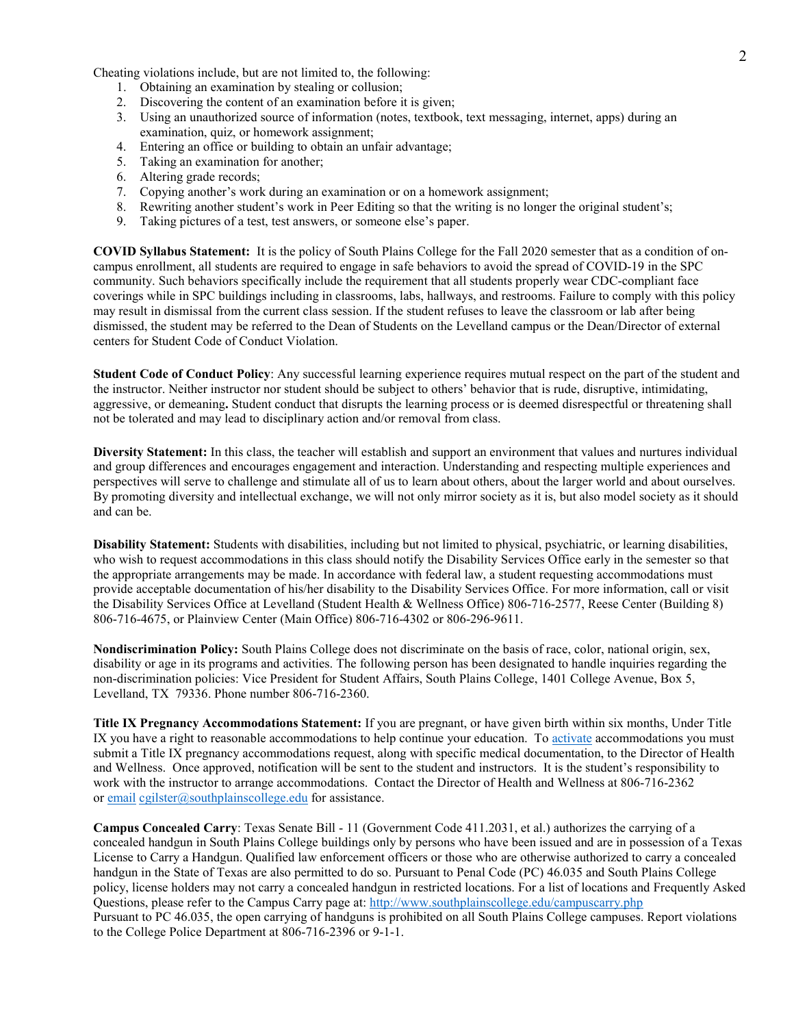Cheating violations include, but are not limited to, the following:

- 1. Obtaining an examination by stealing or collusion;
- 2. Discovering the content of an examination before it is given;
- 3. Using an unauthorized source of information (notes, textbook, text messaging, internet, apps) during an examination, quiz, or homework assignment;
- 4. Entering an office or building to obtain an unfair advantage;
- 5. Taking an examination for another;
- 6. Altering grade records;
- 7. Copying another's work during an examination or on a homework assignment;
- 8. Rewriting another student's work in Peer Editing so that the writing is no longer the original student's;
- 9. Taking pictures of a test, test answers, or someone else's paper.

**COVID Syllabus Statement:** It is the policy of South Plains College for the Fall 2020 semester that as a condition of oncampus enrollment, all students are required to engage in safe behaviors to avoid the spread of COVID-19 in the SPC community. Such behaviors specifically include the requirement that all students properly wear CDC-compliant face coverings while in SPC buildings including in classrooms, labs, hallways, and restrooms. Failure to comply with this policy may result in dismissal from the current class session. If the student refuses to leave the classroom or lab after being dismissed, the student may be referred to the Dean of Students on the Levelland campus or the Dean/Director of external centers for Student Code of Conduct Violation.

**Student Code of Conduct Policy**: Any successful learning experience requires mutual respect on the part of the student and the instructor. Neither instructor nor student should be subject to others' behavior that is rude, disruptive, intimidating, aggressive, or demeaning**.** Student conduct that disrupts the learning process or is deemed disrespectful or threatening shall not be tolerated and may lead to disciplinary action and/or removal from class.

**Diversity Statement:** In this class, the teacher will establish and support an environment that values and nurtures individual and group differences and encourages engagement and interaction. Understanding and respecting multiple experiences and perspectives will serve to challenge and stimulate all of us to learn about others, about the larger world and about ourselves. By promoting diversity and intellectual exchange, we will not only mirror society as it is, but also model society as it should and can be.

**Disability Statement:** Students with disabilities, including but not limited to physical, psychiatric, or learning disabilities, who wish to request accommodations in this class should notify the Disability Services Office early in the semester so that the appropriate arrangements may be made. In accordance with federal law, a student requesting accommodations must provide acceptable documentation of his/her disability to the Disability Services Office. For more information, call or visit the Disability Services Office at Levelland (Student Health & Wellness Office) 806-716-2577, Reese Center (Building 8) 806-716-4675, or Plainview Center (Main Office) 806-716-4302 or 806-296-9611.

**Nondiscrimination Policy:** South Plains College does not discriminate on the basis of race, color, national origin, sex, disability or age in its programs and activities. The following person has been designated to handle inquiries regarding the non-discrimination policies: Vice President for Student Affairs, South Plains College, 1401 College Avenue, Box 5, Levelland, TX 79336. Phone number 806-716-2360.

**Title IX Pregnancy Accommodations Statement:** If you are pregnant, or have given birth within six months, Under Title IX you have a right to reasonable accommodations to help continue your education. To [activate](http://www.southplainscollege.edu/employees/manualshandbooks/facultyhandbook/sec4.php) accommodations you must submit a Title IX pregnancy accommodations request, along with specific medical documentation, to the Director of Health and Wellness. Once approved, notification will be sent to the student and instructors. It is the student's responsibility to work with the instructor to arrange accommodations. Contact the Director of Health and Wellness at 806-716-2362 or [email](http://www.southplainscollege.edu/employees/manualshandbooks/facultyhandbook/sec4.php) [cgilster@southplainscollege.edu](mailto:cgilster@southplainscollege.edu) for assistance.

**Campus Concealed Carry**: Texas Senate Bill - 11 (Government Code 411.2031, et al.) authorizes the carrying of a concealed handgun in South Plains College buildings only by persons who have been issued and are in possession of a Texas License to Carry a Handgun. Qualified law enforcement officers or those who are otherwise authorized to carry a concealed handgun in the State of Texas are also permitted to do so. Pursuant to Penal Code (PC) 46.035 and South Plains College policy, license holders may not carry a concealed handgun in restricted locations. For a list of locations and Frequently Asked Questions, please refer to the Campus Carry page at: <http://www.southplainscollege.edu/campuscarry.php> Pursuant to PC 46.035, the open carrying of handguns is prohibited on all South Plains College campuses. Report violations to the College Police Department at 806-716-2396 or 9-1-1.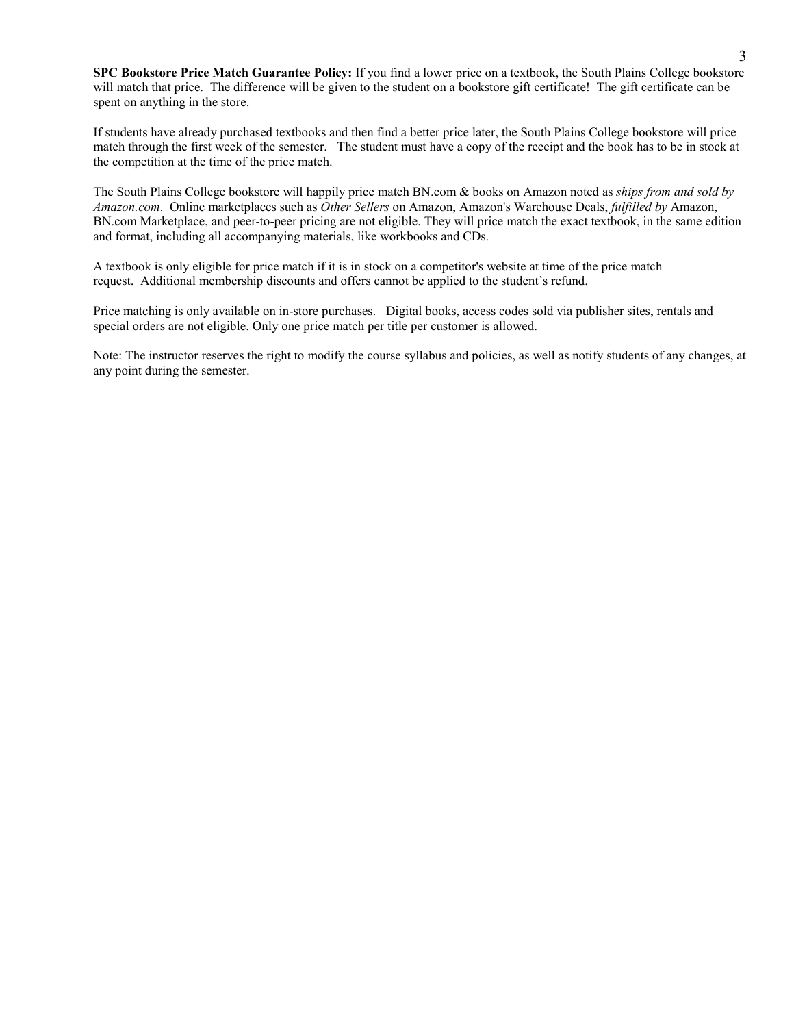**SPC Bookstore Price Match Guarantee Policy:** If you find a lower price on a textbook, the South Plains College bookstore will match that price. The difference will be given to the student on a bookstore gift certificate! The gift certificate can be spent on anything in the store.

If students have already purchased textbooks and then find a better price later, the South Plains College bookstore will price match through the first week of the semester. The student must have a copy of the receipt and the book has to be in stock at the competition at the time of the price match.

The South Plains College bookstore will happily price match BN.com & books on Amazon noted as *ships from and sold by Amazon.com*. Online marketplaces such as *Other Sellers* on Amazon, Amazon's Warehouse Deals, *fulfilled by* Amazon, BN.com Marketplace, and peer-to-peer pricing are not eligible. They will price match the exact textbook, in the same edition and format, including all accompanying materials, like workbooks and CDs.

A textbook is only eligible for price match if it is in stock on a competitor's website at time of the price match request. Additional membership discounts and offers cannot be applied to the student's refund.

Price matching is only available on in-store purchases. Digital books, access codes sold via publisher sites, rentals and special orders are not eligible. Only one price match per title per customer is allowed.

Note: The instructor reserves the right to modify the course syllabus and policies, as well as notify students of any changes, at any point during the semester.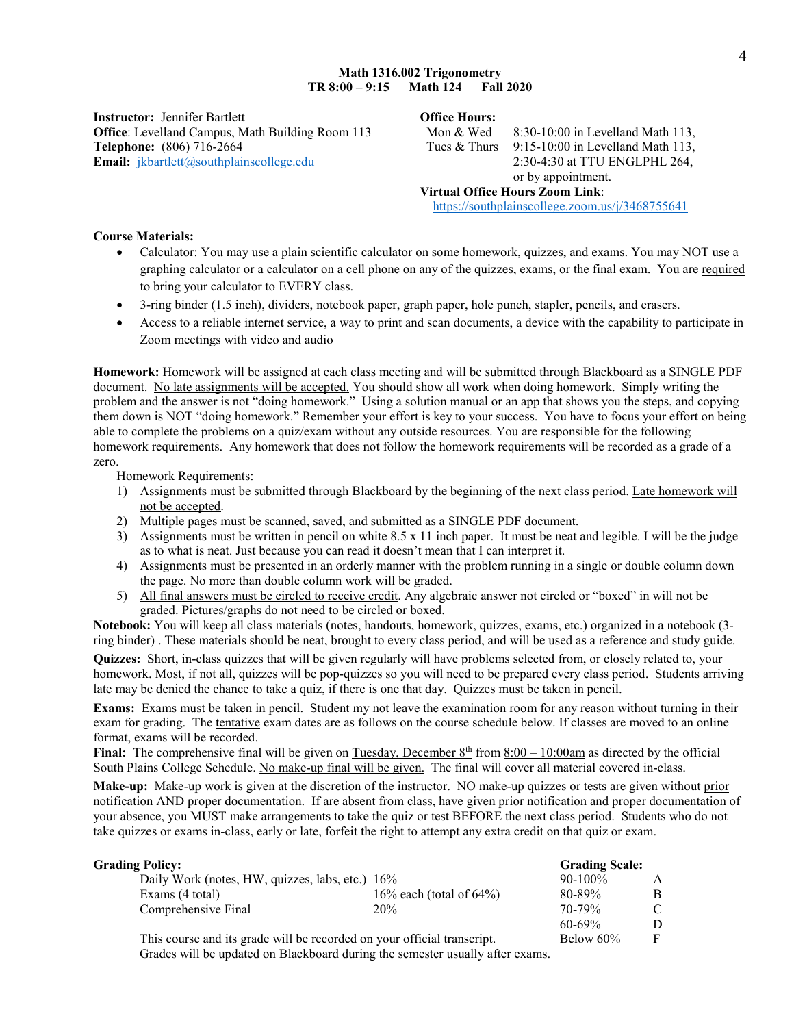**Instructor:** Jennifer Bartlett **Office Hours: Office**: Levelland Campus, Math Building Room 113 Mon & Wed 8:30-10:00 in Levelland Math 113, **Telephone:** (806) 716-2664 Tues & Thurs 9:15-10:00 in Levelland Math 113, **Email:** *[jkbartlett@southplainscollege.edu](mailto:jkbartlett@southplainscollege.edu)* 2:30-4:30 at TTU ENGLPHL 264,

or by appointment. **Virtual Office Hours Zoom Link**: <https://southplainscollege.zoom.us/j/3468755641>

### **Course Materials:**

- Calculator: You may use a plain scientific calculator on some homework, quizzes, and exams. You may NOT use a graphing calculator or a calculator on a cell phone on any of the quizzes, exams, or the final exam. You are required to bring your calculator to EVERY class.
- 3-ring binder (1.5 inch), dividers, notebook paper, graph paper, hole punch, stapler, pencils, and erasers.
- Access to a reliable internet service, a way to print and scan documents, a device with the capability to participate in Zoom meetings with video and audio

**Homework:** Homework will be assigned at each class meeting and will be submitted through Blackboard as a SINGLE PDF document. No late assignments will be accepted. You should show all work when doing homework. Simply writing the problem and the answer is not "doing homework." Using a solution manual or an app that shows you the steps, and copying them down is NOT "doing homework." Remember your effort is key to your success. You have to focus your effort on being able to complete the problems on a quiz/exam without any outside resources. You are responsible for the following homework requirements. Any homework that does not follow the homework requirements will be recorded as a grade of a zero.

Homework Requirements:

- 1) Assignments must be submitted through Blackboard by the beginning of the next class period. Late homework will not be accepted.
- 2) Multiple pages must be scanned, saved, and submitted as a SINGLE PDF document.
- 3) Assignments must be written in pencil on white 8.5 x 11 inch paper. It must be neat and legible. I will be the judge as to what is neat. Just because you can read it doesn't mean that I can interpret it.
- 4) Assignments must be presented in an orderly manner with the problem running in a single or double column down the page. No more than double column work will be graded.
- 5) All final answers must be circled to receive credit. Any algebraic answer not circled or "boxed" in will not be graded. Pictures/graphs do not need to be circled or boxed.

**Notebook:** You will keep all class materials (notes, handouts, homework, quizzes, exams, etc.) organized in a notebook (3 ring binder) . These materials should be neat, brought to every class period, and will be used as a reference and study guide.

**Quizzes:** Short, in-class quizzes that will be given regularly will have problems selected from, or closely related to, your homework. Most, if not all, quizzes will be pop-quizzes so you will need to be prepared every class period. Students arriving late may be denied the chance to take a quiz, if there is one that day. Quizzes must be taken in pencil.

**Exams:** Exams must be taken in pencil. Student my not leave the examination room for any reason without turning in their exam for grading. The tentative exam dates are as follows on the course schedule below. If classes are moved to an online format, exams will be recorded.

**Final:** The comprehensive final will be given on Tuesday, December  $8<sup>th</sup>$  from  $8:00 - 10:00$ am as directed by the official South Plains College Schedule. No make-up final will be given. The final will cover all material covered in-class.

**Make-up:** Make-up work is given at the discretion of the instructor. NO make-up quizzes or tests are given without prior notification AND proper documentation. If are absent from class, have given prior notification and proper documentation of your absence, you MUST make arrangements to take the quiz or test BEFORE the next class period. Students who do not take quizzes or exams in-class, early or late, forfeit the right to attempt any extra credit on that quiz or exam.

| <b>Grading Policy:</b>                                                  |                             | <b>Grading Scale:</b> |               |
|-------------------------------------------------------------------------|-----------------------------|-----------------------|---------------|
| Daily Work (notes, HW, quizzes, labs, etc.) 16%                         |                             | $90-100\%$            |               |
| Exams (4 total)                                                         | 16% each (total of $64\%$ ) | 80-89%                | B             |
| Comprehensive Final                                                     | 20%                         | 70-79%                | $\mathcal{C}$ |
|                                                                         |                             | $60 - 69\%$           |               |
| This course and its grade will be recorded on your official transcript. |                             | Below 60%             | F             |

Grades will be updated on Blackboard during the semester usually after exams.